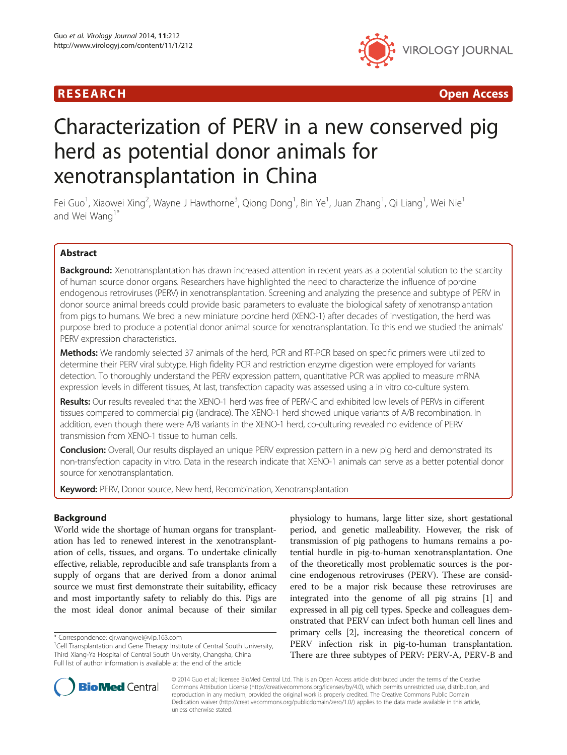# R E S EAR CH Open Access



# Characterization of PERV in a new conserved pig herd as potential donor animals for xenotransplantation in China

Fei Guo<sup>1</sup>, Xiaowei Xing<sup>2</sup>, Wayne J Hawthorne<sup>3</sup>, Qiong Dong<sup>1</sup>, Bin Ye<sup>1</sup>, Juan Zhang<sup>1</sup>, Qi Liang<sup>1</sup>, Wei Nie<sup>1</sup> and Wei Wang<sup>1\*</sup>

# Abstract

Background: Xenotransplantation has drawn increased attention in recent years as a potential solution to the scarcity of human source donor organs. Researchers have highlighted the need to characterize the influence of porcine endogenous retroviruses (PERV) in xenotransplantation. Screening and analyzing the presence and subtype of PERV in donor source animal breeds could provide basic parameters to evaluate the biological safety of xenotransplantation from pigs to humans. We bred a new miniature porcine herd (XENO-1) after decades of investigation, the herd was purpose bred to produce a potential donor animal source for xenotransplantation. To this end we studied the animals' PERV expression characteristics.

Methods: We randomly selected 37 animals of the herd, PCR and RT-PCR based on specific primers were utilized to determine their PERV viral subtype. High fidelity PCR and restriction enzyme digestion were employed for variants detection. To thoroughly understand the PERV expression pattern, quantitative PCR was applied to measure mRNA expression levels in different tissues, At last, transfection capacity was assessed using a in vitro co-culture system.

Results: Our results revealed that the XENO-1 herd was free of PERV-C and exhibited low levels of PERVs in different tissues compared to commercial pig (landrace). The XENO-1 herd showed unique variants of A/B recombination. In addition, even though there were A/B variants in the XENO-1 herd, co-culturing revealed no evidence of PERV transmission from XENO-1 tissue to human cells.

**Conclusion:** Overall, Our results displayed an unique PERV expression pattern in a new pig herd and demonstrated its non-transfection capacity in vitro. Data in the research indicate that XENO-1 animals can serve as a better potential donor source for xenotransplantation.

Keyword: PERV, Donor source, New herd, Recombination, Xenotransplantation

# Background

World wide the shortage of human organs for transplantation has led to renewed interest in the xenotransplantation of cells, tissues, and organs. To undertake clinically effective, reliable, reproducible and safe transplants from a supply of organs that are derived from a donor animal source we must first demonstrate their suitability, efficacy and most importantly safety to reliably do this. Pigs are the most ideal donor animal because of their similar physiology to humans, large litter size, short gestational period, and genetic malleability. However, the risk of transmission of pig pathogens to humans remains a potential hurdle in pig-to-human xenotransplantation. One of the theoretically most problematic sources is the porcine endogenous retroviruses (PERV). These are considered to be a major risk because these retroviruses are integrated into the genome of all pig strains [\[1\]](#page-8-0) and expressed in all pig cell types. Specke and colleagues demonstrated that PERV can infect both human cell lines and primary cells [\[2\]](#page-8-0), increasing the theoretical concern of PERV infection risk in pig-to-human transplantation. There are three subtypes of PERV: PERV-A, PERV-B and



© 2014 Guo et al.; licensee BioMed Central Ltd. This is an Open Access article distributed under the terms of the Creative Commons Attribution License [\(http://creativecommons.org/licenses/by/4.0\)](http://creativecommons.org/licenses/by/4.0), which permits unrestricted use, distribution, and reproduction in any medium, provided the original work is properly credited. The Creative Commons Public Domain Dedication waiver [\(http://creativecommons.org/publicdomain/zero/1.0/](http://creativecommons.org/publicdomain/zero/1.0/)) applies to the data made available in this article, unless otherwise stated.

<sup>\*</sup> Correspondence: [cjr.wangwei@vip.163.com](mailto:cjr.wangwei@vip.163.com) <sup>1</sup>

<sup>&</sup>lt;sup>1</sup>Cell Transplantation and Gene Therapy Institute of Central South University, Third Xiang-Ya Hospital of Central South University, Changsha, China Full list of author information is available at the end of the article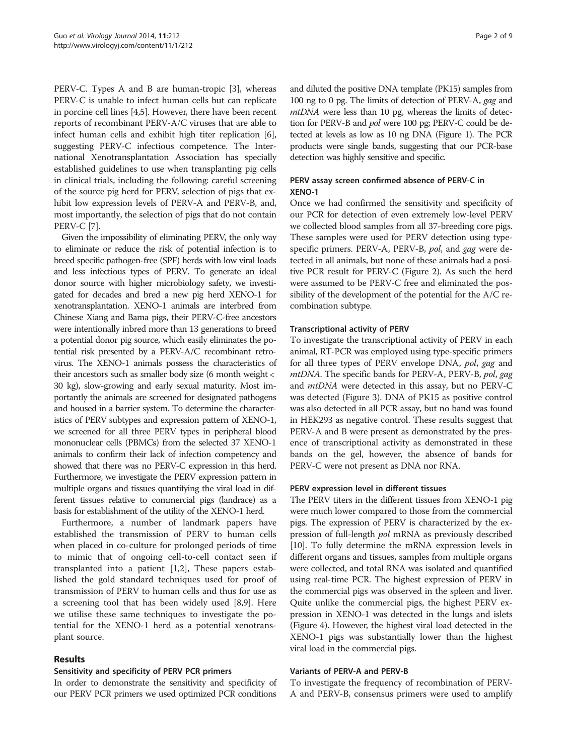PERV-C. Types A and B are human-tropic [[3\]](#page-8-0), whereas PERV-C is unable to infect human cells but can replicate in porcine cell lines [\[4,5](#page-8-0)]. However, there have been recent reports of recombinant PERV-A/C viruses that are able to infect human cells and exhibit high titer replication [[6](#page-8-0)], suggesting PERV-C infectious competence. The International Xenotransplantation Association has specially established guidelines to use when transplanting pig cells in clinical trials, including the following: careful screening of the source pig herd for PERV, selection of pigs that exhibit low expression levels of PERV-A and PERV-B, and, most importantly, the selection of pigs that do not contain PERV-C [[7](#page-8-0)].

Given the impossibility of eliminating PERV, the only way to eliminate or reduce the risk of potential infection is to breed specific pathogen-free (SPF) herds with low viral loads and less infectious types of PERV. To generate an ideal donor source with higher microbiology safety, we investigated for decades and bred a new pig herd XENO-1 for xenotransplantation. XENO-1 animals are interbred from Chinese Xiang and Bama pigs, their PERV-C-free ancestors were intentionally inbred more than 13 generations to breed a potential donor pig source, which easily eliminates the potential risk presented by a PERV-A/C recombinant retrovirus. The XENO-1 animals possess the characteristics of their ancestors such as smaller body size (6 month weight < 30 kg), slow-growing and early sexual maturity. Most importantly the animals are screened for designated pathogens and housed in a barrier system. To determine the characteristics of PERV subtypes and expression pattern of XENO-1, we screened for all three PERV types in peripheral blood mononuclear cells (PBMCs) from the selected 37 XENO-1 animals to confirm their lack of infection competency and showed that there was no PERV-C expression in this herd. Furthermore, we investigate the PERV expression pattern in multiple organs and tissues quantifying the viral load in different tissues relative to commercial pigs (landrace) as a basis for establishment of the utility of the XENO-1 herd.

Furthermore, a number of landmark papers have established the transmission of PERV to human cells when placed in co-culture for prolonged periods of time to mimic that of ongoing cell-to-cell contact seen if transplanted into a patient [[1,2\]](#page-8-0), These papers established the gold standard techniques used for proof of transmission of PERV to human cells and thus for use as a screening tool that has been widely used [[8,9\]](#page-8-0). Here we utilise these same techniques to investigate the potential for the XENO-1 herd as a potential xenotransplant source.

## Results

## Sensitivity and specificity of PERV PCR primers

In order to demonstrate the sensitivity and specificity of our PERV PCR primers we used optimized PCR conditions

and diluted the positive DNA template (PK15) samples from 100 ng to 0 pg. The limits of detection of PERV-A, gag and mtDNA were less than 10 pg, whereas the limits of detection for PERV-B and pol were 100 pg; PERV-C could be detected at levels as low as 10 ng DNA (Figure [1](#page-2-0)). The PCR products were single bands, suggesting that our PCR-base detection was highly sensitive and specific.

# PERV assay screen confirmed absence of PERV-C in XENO-1

Once we had confirmed the sensitivity and specificity of our PCR for detection of even extremely low-level PERV we collected blood samples from all 37-breeding core pigs. These samples were used for PERV detection using typespecific primers. PERV-A, PERV-B, pol, and gag were detected in all animals, but none of these animals had a positive PCR result for PERV-C (Figure [2\)](#page-2-0). As such the herd were assumed to be PERV-C free and eliminated the possibility of the development of the potential for the A/C recombination subtype.

## Transcriptional activity of PERV

To investigate the transcriptional activity of PERV in each animal, RT-PCR was employed using type-specific primers for all three types of PERV envelope DNA, pol, gag and mtDNA. The specific bands for PERV-A, PERV-B, pol, gag and mtDNA were detected in this assay, but no PERV-C was detected (Figure [3](#page-3-0)). DNA of PK15 as positive control was also detected in all PCR assay, but no band was found in HEK293 as negative control. These results suggest that PERV-A and B were present as demonstrated by the presence of transcriptional activity as demonstrated in these bands on the gel, however, the absence of bands for PERV-C were not present as DNA nor RNA.

## PERV expression level in different tissues

The PERV titers in the different tissues from XENO-1 pig were much lower compared to those from the commercial pigs. The expression of PERV is characterized by the expression of full-length pol mRNA as previously described [[10](#page-8-0)]. To fully determine the mRNA expression levels in different organs and tissues, samples from multiple organs were collected, and total RNA was isolated and quantified using real-time PCR. The highest expression of PERV in the commercial pigs was observed in the spleen and liver. Quite unlike the commercial pigs, the highest PERV expression in XENO-1 was detected in the lungs and islets (Figure [4](#page-3-0)). However, the highest viral load detected in the XENO-1 pigs was substantially lower than the highest viral load in the commercial pigs.

#### Variants of PERV-A and PERV-B

To investigate the frequency of recombination of PERV-A and PERV-B, consensus primers were used to amplify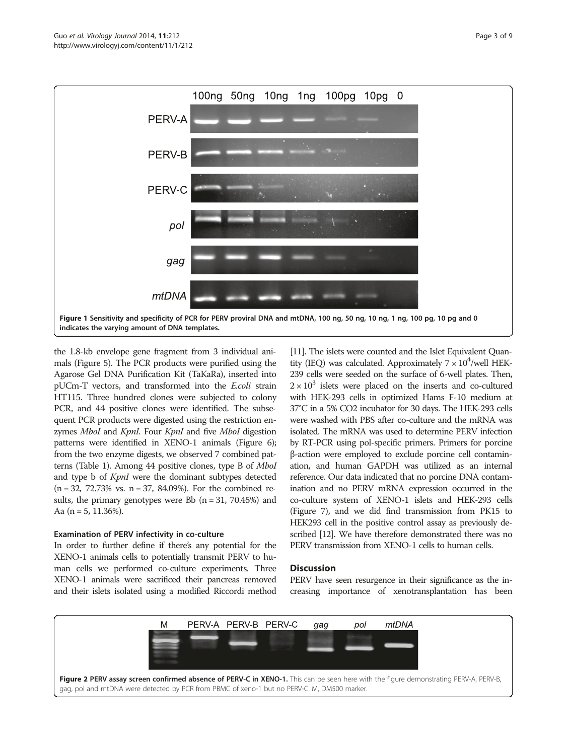<span id="page-2-0"></span>

the 1.8-kb envelope gene fragment from 3 individual animals (Figure [5](#page-4-0)). The PCR products were purified using the Agarose Gel DNA Purification Kit (TaKaRa), inserted into pUCm-T vectors, and transformed into the E.coli strain HT115. Three hundred clones were subjected to colony PCR, and 44 positive clones were identified. The subsequent PCR products were digested using the restriction enzymes MboI and KpnI. Four KpnI and five MboI digestion patterns were identified in XENO-1 animals (Figure [6](#page-4-0)); from the two enzyme digests, we observed 7 combined patterns (Table [1\)](#page-5-0). Among 44 positive clones, type B of MboI and type b of KpnI were the dominant subtypes detected (n = 32, 72.73% vs. n = 37, 84.09%). For the combined results, the primary genotypes were Bb  $(n = 31, 70.45%)$  and Aa  $(n = 5, 11.36\%)$ .

## Examination of PERV infectivity in co-culture

In order to further define if there's any potential for the XENO-1 animals cells to potentially transmit PERV to human cells we performed co-culture experiments. Three XENO-1 animals were sacrificed their pancreas removed and their islets isolated using a modified Riccordi method

[[11\]](#page-8-0). The islets were counted and the Islet Equivalent Quantity (IEQ) was calculated. Approximately  $7 \times 10^4$ /well HEK-239 cells were seeded on the surface of 6-well plates. Then,  $2 \times 10^3$  islets were placed on the inserts and co-cultured with HEK-293 cells in optimized Hams F-10 medium at 37°C in a 5% CO2 incubator for 30 days. The HEK-293 cells were washed with PBS after co-culture and the mRNA was isolated. The mRNA was used to determine PERV infection by RT-PCR using pol-specific primers. Primers for porcine β-action were employed to exclude porcine cell contamination, and human GAPDH was utilized as an internal reference. Our data indicated that no porcine DNA contamination and no PERV mRNA expression occurred in the co-culture system of XENO-1 islets and HEK-293 cells (Figure [7\)](#page-5-0), and we did find transmission from PK15 to HEK293 cell in the positive control assay as previously described [\[12\]](#page-8-0). We have therefore demonstrated there was no PERV transmission from XENO-1 cells to human cells.

# **Discussion**

PERV have seen resurgence in their significance as the increasing importance of xenotransplantation has been

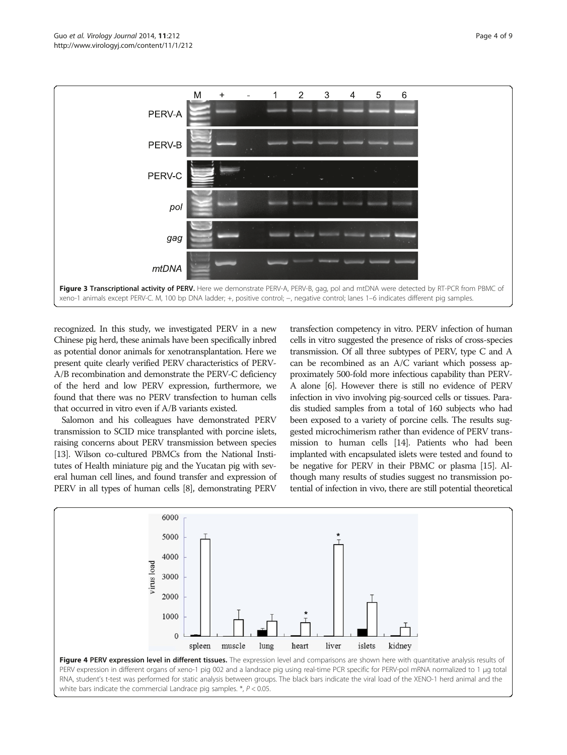<span id="page-3-0"></span>

recognized. In this study, we investigated PERV in a new Chinese pig herd, these animals have been specifically inbred as potential donor animals for xenotransplantation. Here we present quite clearly verified PERV characteristics of PERV-A/B recombination and demonstrate the PERV-C deficiency of the herd and low PERV expression, furthermore, we found that there was no PERV transfection to human cells that occurred in vitro even if A/B variants existed.

Salomon and his colleagues have demonstrated PERV transmission to SCID mice transplanted with porcine islets, raising concerns about PERV transmission between species [[13\]](#page-8-0). Wilson co-cultured PBMCs from the National Institutes of Health miniature pig and the Yucatan pig with several human cell lines, and found transfer and expression of PERV in all types of human cells [\[8\]](#page-8-0), demonstrating PERV transfection competency in vitro. PERV infection of human cells in vitro suggested the presence of risks of cross-species transmission. Of all three subtypes of PERV, type C and A can be recombined as an A/C variant which possess approximately 500-fold more infectious capability than PERV-A alone [\[6\]](#page-8-0). However there is still no evidence of PERV infection in vivo involving pig-sourced cells or tissues. Paradis studied samples from a total of 160 subjects who had been exposed to a variety of porcine cells. The results suggested microchimerism rather than evidence of PERV transmission to human cells [\[14](#page-8-0)]. Patients who had been implanted with encapsulated islets were tested and found to be negative for PERV in their PBMC or plasma [[15\]](#page-8-0). Although many results of studies suggest no transmission potential of infection in vivo, there are still potential theoretical

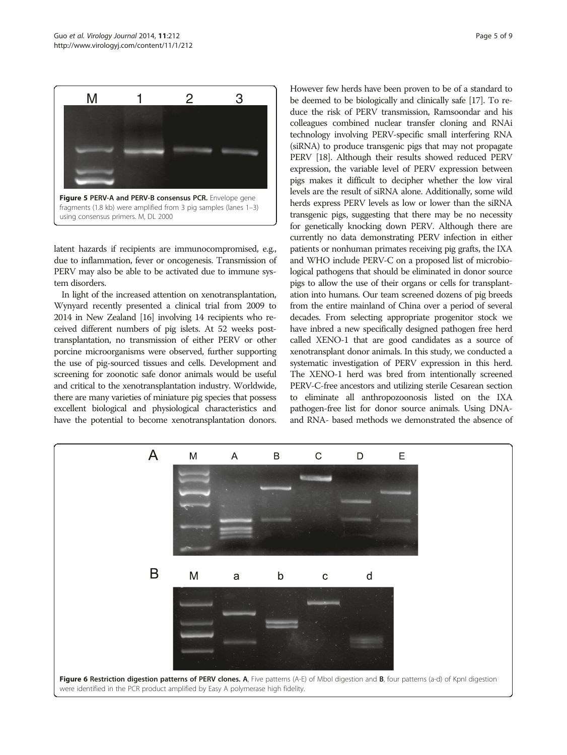<span id="page-4-0"></span>

latent hazards if recipients are immunocompromised, e.g., due to inflammation, fever or oncogenesis. Transmission of PERV may also be able to be activated due to immune system disorders.

In light of the increased attention on xenotransplantation, Wynyard recently presented a clinical trial from 2009 to 2014 in New Zealand [\[16](#page-8-0)] involving 14 recipients who received different numbers of pig islets. At 52 weeks posttransplantation, no transmission of either PERV or other porcine microorganisms were observed, further supporting the use of pig-sourced tissues and cells. Development and screening for zoonotic safe donor animals would be useful and critical to the xenotransplantation industry. Worldwide, there are many varieties of miniature pig species that possess excellent biological and physiological characteristics and have the potential to become xenotransplantation donors. However few herds have been proven to be of a standard to be deemed to be biologically and clinically safe [\[17\]](#page-8-0). To reduce the risk of PERV transmission, Ramsoondar and his colleagues combined nuclear transfer cloning and RNAi technology involving PERV-specific small interfering RNA (siRNA) to produce transgenic pigs that may not propagate PERV [\[18](#page-8-0)]. Although their results showed reduced PERV expression, the variable level of PERV expression between pigs makes it difficult to decipher whether the low viral levels are the result of siRNA alone. Additionally, some wild herds express PERV levels as low or lower than the siRNA transgenic pigs, suggesting that there may be no necessity for genetically knocking down PERV. Although there are currently no data demonstrating PERV infection in either patients or nonhuman primates receiving pig grafts, the IXA and WHO include PERV-C on a proposed list of microbiological pathogens that should be eliminated in donor source pigs to allow the use of their organs or cells for transplantation into humans. Our team screened dozens of pig breeds from the entire mainland of China over a period of several decades. From selecting appropriate progenitor stock we have inbred a new specifically designed pathogen free herd called XENO-1 that are good candidates as a source of xenotransplant donor animals. In this study, we conducted a systematic investigation of PERV expression in this herd. The XENO-1 herd was bred from intentionally screened PERV-C-free ancestors and utilizing sterile Cesarean section to eliminate all anthropozoonosis listed on the IXA pathogen-free list for donor source animals. Using DNAand RNA- based methods we demonstrated the absence of

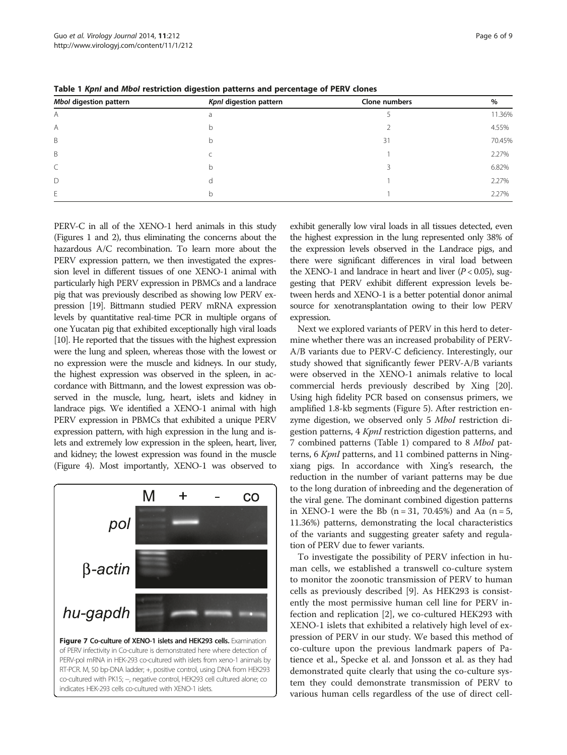| Mbol digestion pattern | Kpnl digestion pattern | Clone numbers | %      |
|------------------------|------------------------|---------------|--------|
| A                      | a                      |               | 11.36% |
| A                      | b                      |               | 4.55%  |
| B                      | b                      | 31            | 70.45% |
| B                      |                        |               | 2.27%  |
|                        | b                      |               | 6.82%  |
| D                      |                        |               | 2.27%  |
| E                      | b                      |               | 2.27%  |

<span id="page-5-0"></span>Table 1 KpnI and MboI restriction digestion patterns and percentage of PERV clones

PERV-C in all of the XENO-1 herd animals in this study (Figures [1](#page-2-0) and [2](#page-2-0)), thus eliminating the concerns about the hazardous A/C recombination. To learn more about the PERV expression pattern, we then investigated the expression level in different tissues of one XENO-1 animal with particularly high PERV expression in PBMCs and a landrace pig that was previously described as showing low PERV expression [\[19\]](#page-8-0). Bittmann studied PERV mRNA expression levels by quantitative real-time PCR in multiple organs of one Yucatan pig that exhibited exceptionally high viral loads [[10\]](#page-8-0). He reported that the tissues with the highest expression were the lung and spleen, whereas those with the lowest or no expression were the muscle and kidneys. In our study, the highest expression was observed in the spleen, in accordance with Bittmann, and the lowest expression was observed in the muscle, lung, heart, islets and kidney in landrace pigs. We identified a XENO-1 animal with high PERV expression in PBMCs that exhibited a unique PERV expression pattern, with high expression in the lung and islets and extremely low expression in the spleen, heart, liver, and kidney; the lowest expression was found in the muscle (Figure [4](#page-3-0)). Most importantly, XENO-1 was observed to



RT-PCR. M, 50 bp-DNA ladder; +, positive control, using DNA from HEK293 co-cultured with PK15; −, negative control, HEK293 cell cultured alone; co indicates HEK-293 cells co-cultured with XENO-1 islets.

exhibit generally low viral loads in all tissues detected, even the highest expression in the lung represented only 38% of the expression levels observed in the Landrace pigs, and there were significant differences in viral load between the XENO-1 and landrace in heart and liver  $(P < 0.05)$ , suggesting that PERV exhibit different expression levels between herds and XENO-1 is a better potential donor animal source for xenotransplantation owing to their low PERV expression.

Next we explored variants of PERV in this herd to determine whether there was an increased probability of PERV-A/B variants due to PERV-C deficiency. Interestingly, our study showed that significantly fewer PERV-A/B variants were observed in the XENO-1 animals relative to local commercial herds previously described by Xing [[20](#page-8-0)]. Using high fidelity PCR based on consensus primers, we amplified 1.8-kb segments (Figure [5](#page-4-0)). After restriction enzyme digestion, we observed only 5 Mbol restriction digestion patterns, 4 KpnI restriction digestion patterns, and 7 combined patterns (Table 1) compared to 8 MboI patterns, 6 KpnI patterns, and 11 combined patterns in Ningxiang pigs. In accordance with Xing's research, the reduction in the number of variant patterns may be due to the long duration of inbreeding and the degeneration of the viral gene. The dominant combined digestion patterns in XENO-1 were the Bb  $(n = 31, 70.45%)$  and Aa  $(n = 5,$ 11.36%) patterns, demonstrating the local characteristics of the variants and suggesting greater safety and regulation of PERV due to fewer variants.

To investigate the possibility of PERV infection in human cells, we established a transwell co-culture system to monitor the zoonotic transmission of PERV to human cells as previously described [[9\]](#page-8-0). As HEK293 is consistently the most permissive human cell line for PERV infection and replication [\[2](#page-8-0)], we co-cultured HEK293 with XENO-1 islets that exhibited a relatively high level of expression of PERV in our study. We based this method of co-culture upon the previous landmark papers of Patience et al., Specke et al. and Jonsson et al. as they had demonstrated quite clearly that using the co-culture system they could demonstrate transmission of PERV to various human cells regardless of the use of direct cell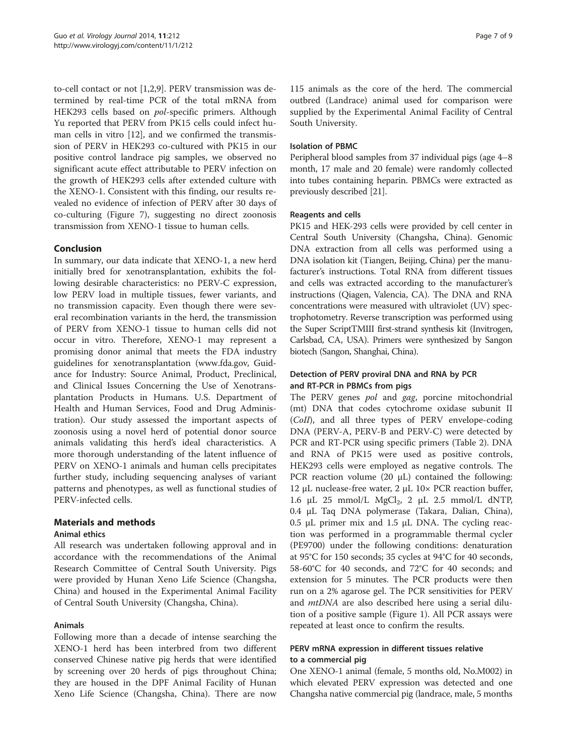to-cell contact or not [\[1,2,9](#page-8-0)]. PERV transmission was determined by real-time PCR of the total mRNA from HEK293 cells based on pol-specific primers. Although Yu reported that PERV from PK15 cells could infect human cells in vitro [\[12](#page-8-0)], and we confirmed the transmission of PERV in HEK293 co-cultured with PK15 in our positive control landrace pig samples, we observed no significant acute effect attributable to PERV infection on the growth of HEK293 cells after extended culture with the XENO-1. Consistent with this finding, our results revealed no evidence of infection of PERV after 30 days of co-culturing (Figure [7\)](#page-5-0), suggesting no direct zoonosis transmission from XENO-1 tissue to human cells.

## Conclusion

In summary, our data indicate that XENO-1, a new herd initially bred for xenotransplantation, exhibits the following desirable characteristics: no PERV-C expression, low PERV load in multiple tissues, fewer variants, and no transmission capacity. Even though there were several recombination variants in the herd, the transmission of PERV from XENO-1 tissue to human cells did not occur in vitro. Therefore, XENO-1 may represent a promising donor animal that meets the FDA industry guidelines for xenotransplantation [\(www.fda.gov,](http://www.fda.gov) Guidance for Industry: Source Animal, Product, Preclinical, and Clinical Issues Concerning the Use of Xenotransplantation Products in Humans. U.S. Department of Health and Human Services, Food and Drug Administration). Our study assessed the important aspects of zoonosis using a novel herd of potential donor source animals validating this herd's ideal characteristics. A more thorough understanding of the latent influence of PERV on XENO-1 animals and human cells precipitates further study, including sequencing analyses of variant patterns and phenotypes, as well as functional studies of PERV-infected cells.

## Materials and methods

## Animal ethics

All research was undertaken following approval and in accordance with the recommendations of the Animal Research Committee of Central South University. Pigs were provided by Hunan Xeno Life Science (Changsha, China) and housed in the Experimental Animal Facility of Central South University (Changsha, China).

## Animals

Following more than a decade of intense searching the XENO-1 herd has been interbred from two different conserved Chinese native pig herds that were identified by screening over 20 herds of pigs throughout China; they are housed in the DPF Animal Facility of Hunan Xeno Life Science (Changsha, China). There are now 115 animals as the core of the herd. The commercial outbred (Landrace) animal used for comparison were supplied by the Experimental Animal Facility of Central South University.

#### Isolation of PBMC

Peripheral blood samples from 37 individual pigs (age 4–8 month, 17 male and 20 female) were randomly collected into tubes containing heparin. PBMCs were extracted as previously described [[21](#page-8-0)].

#### Reagents and cells

PK15 and HEK-293 cells were provided by cell center in Central South University (Changsha, China). Genomic DNA extraction from all cells was performed using a DNA isolation kit (Tiangen, Beijing, China) per the manufacturer's instructions. Total RNA from different tissues and cells was extracted according to the manufacturer's instructions (Qiagen, Valencia, CA). The DNA and RNA concentrations were measured with ultraviolet (UV) spectrophotometry. Reverse transcription was performed using the Super ScriptTMIII first-strand synthesis kit (Invitrogen, Carlsbad, CA, USA). Primers were synthesized by Sangon biotech (Sangon, Shanghai, China).

# Detection of PERV proviral DNA and RNA by PCR and RT-PCR in PBMCs from pigs

The PERV genes pol and gag, porcine mitochondrial (mt) DNA that codes cytochrome oxidase subunit II (CoII), and all three types of PERV envelope-coding DNA (PERV-A, PERV-B and PERV-C) were detected by PCR and RT-PCR using specific primers (Table [2](#page-7-0)). DNA and RNA of PK15 were used as positive controls, HEK293 cells were employed as negative controls. The PCR reaction volume  $(20 \mu L)$  contained the following: 12 μL nuclease-free water, 2 μL 10× PCR reaction buffer, 1.6 μL 25 mmol/L MgCl<sub>2</sub>, 2 μL 2.5 mmol/L dNTP, 0.4 μL Taq DNA polymerase (Takara, Dalian, China), 0.5 μL primer mix and 1.5 μL DNA. The cycling reaction was performed in a programmable thermal cycler (PE9700) under the following conditions: denaturation at 95°C for 150 seconds; 35 cycles at 94°C for 40 seconds, 58-60°C for 40 seconds, and 72°C for 40 seconds; and extension for 5 minutes. The PCR products were then run on a 2% agarose gel. The PCR sensitivities for PERV and *mtDNA* are also described here using a serial dilution of a positive sample (Figure [1](#page-2-0)). All PCR assays were repeated at least once to confirm the results.

## PERV mRNA expression in different tissues relative to a commercial pig

One XENO-1 animal (female, 5 months old, No.M002) in which elevated PERV expression was detected and one Changsha native commercial pig (landrace, male, 5 months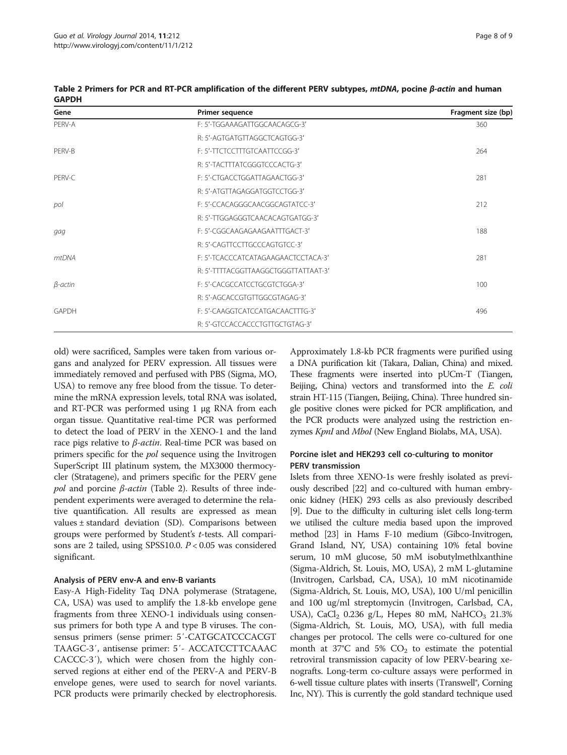<span id="page-7-0"></span>

| Table 2 Primers for PCR and RT-PCR amplification of the different PERV subtypes, <i>mtDNA</i> , pocine $\beta$ -actin and human |  |  |
|---------------------------------------------------------------------------------------------------------------------------------|--|--|
| <b>GAPDH</b>                                                                                                                    |  |  |

| Gene           | Primer sequence                      | Fragment size (bp) |
|----------------|--------------------------------------|--------------------|
| PERV-A         | F: 5'-TGGAAAGATTGGCAACAGCG-3'        | 360                |
|                | R: 5'-AGTGATGTTAGGCTCAGTGG-3'        |                    |
| PERV-B         | F: 5'-TTCTCCTTTGTCAATTCCGG-3'        | 264                |
|                | R: 5'-TACTTTATCGGGTCCCACTG-3'        |                    |
| PERV-C         | F: 5'-CTGACCTGGATTAGAACTGG-3'        | 281                |
|                | R: 5'-ATGTTAGAGGATGGTCCTGG-3'        |                    |
| pol            | F: 5'-CCACAGGGCAACGGCAGTATCC-3'      | 212                |
|                | R: 5'-TTGGAGGGTCAACACAGTGATGG-3'     |                    |
| gag            | F: 5'-CGGCAAGAGAAGAATTTGACT-3'       | 188                |
|                | R: 5'-CAGTTCCTTGCCCAGTGTCC-3'        |                    |
| mtDNA          | F: 5'-TCACCCATCATAGAAGAACTCCTACA-3'  | 281                |
|                | R: 5'-TTTTACGGTTAAGGCTGGGTTATTAAT-3' |                    |
| $\beta$ -actin | F: 5'-CACGCCATCCTGCGTCTGGA-3'        | 100                |
|                | R: 5'-AGCACCGTGTTGGCGTAGAG-3'        |                    |
| <b>GAPDH</b>   | F: 5'-CAAGGTCATCCATGACAACTTTG-3'     | 496                |
|                | R: 5'-GTCCACCACCCTGTTGCTGTAG-3'      |                    |

old) were sacrificed, Samples were taken from various organs and analyzed for PERV expression. All tissues were immediately removed and perfused with PBS (Sigma, MO, USA) to remove any free blood from the tissue. To determine the mRNA expression levels, total RNA was isolated, and RT-PCR was performed using 1 μg RNA from each organ tissue. Quantitative real-time PCR was performed to detect the load of PERV in the XENO-1 and the land race pigs relative to  $β$ -actin. Real-time PCR was based on primers specific for the pol sequence using the Invitrogen SuperScript III platinum system, the MX3000 thermocycler (Stratagene), and primers specific for the PERV gene pol and porcine  $\beta$ -actin (Table 2). Results of three independent experiments were averaged to determine the relative quantification. All results are expressed as mean values ± standard deviation (SD). Comparisons between groups were performed by Student'<sup>s</sup> t-tests. All comparisons are 2 tailed, using SPSS10.0. P < 0.05 was considered significant.

## Analysis of PERV env-A and env-B variants

Easy-A High-Fidelity Taq DNA polymerase (Stratagene, CA, USA) was used to amplify the 1.8-kb envelope gene fragments from three XENO-1 individuals using consensus primers for both type A and type B viruses. The consensus primers (sense primer: 5′-CATGCATCCCACGT TAAGC-3′, antisense primer: 5′- ACCATCCTTCAAAC CACCC-3′), which were chosen from the highly conserved regions at either end of the PERV-A and PERV-B envelope genes, were used to search for novel variants. PCR products were primarily checked by electrophoresis.

Approximately 1.8-kb PCR fragments were purified using a DNA purification kit (Takara, Dalian, China) and mixed. These fragments were inserted into pUCm-T (Tiangen, Beijing, China) vectors and transformed into the E. coli strain HT-115 (Tiangen, Beijing, China). Three hundred single positive clones were picked for PCR amplification, and the PCR products were analyzed using the restriction enzymes KpnI and MboI (New England Biolabs, MA, USA).

# Porcine islet and HEK293 cell co-culturing to monitor PERV transmission

Islets from three XENO-1s were freshly isolated as previously described [\[22\]](#page-8-0) and co-cultured with human embryonic kidney (HEK) 293 cells as also previously described [[9](#page-8-0)]. Due to the difficulty in culturing islet cells long-term we utilised the culture media based upon the improved method [[23](#page-8-0)] in Hams F-10 medium (Gibco-Invitrogen, Grand Island, NY, USA) containing 10% fetal bovine serum, 10 mM glucose, 50 mM isobutylmethlxanthine (Sigma-Aldrich, St. Louis, MO, USA), 2 mM L-glutamine (Invitrogen, Carlsbad, CA, USA), 10 mM nicotinamide (Sigma-Aldrich, St. Louis, MO, USA), 100 U/ml penicillin and 100 ug/ml streptomycin (Invitrogen, Carlsbad, CA, USA), CaCl<sub>2</sub> 0.236 g/L, Hepes 80 mM, NaHCO<sub>3</sub> 21.3% (Sigma-Aldrich, St. Louis, MO, USA), with full media changes per protocol. The cells were co-cultured for one month at 37°C and 5%  $CO<sub>2</sub>$  to estimate the potential retroviral transmission capacity of low PERV-bearing xenografts. Long-term co-culture assays were performed in 6-well tissue culture plates with inserts (Transwell®, Corning Inc, NY). This is currently the gold standard technique used